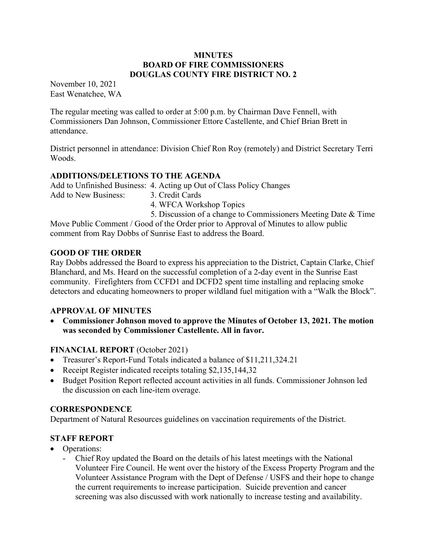#### **MINUTES** BOARD OF FIRE COMMISSIONERS DOUGLAS COUNTY FIRE DISTRICT NO. 2

November 10, 2021 East Wenatchee, WA

The regular meeting was called to order at 5:00 p.m. by Chairman Dave Fennell, with Commissioners Dan Johnson, Commissioner Ettore Castellente, and Chief Brian Brett in attendance.

District personnel in attendance: Division Chief Ron Roy (remotely) and District Secretary Terri Woods.

### ADDITIONS/DELETIONS TO THE AGENDA

Add to Unfinished Business: 4. Acting up Out of Class Policy Changes

Add to New Business: 3. Credit Cards

4. WFCA Workshop Topics

 5. Discussion of a change to Commissioners Meeting Date & Time Move Public Comment / Good of the Order prior to Approval of Minutes to allow public comment from Ray Dobbs of Sunrise East to address the Board.

# GOOD OF THE ORDER

Ray Dobbs addressed the Board to express his appreciation to the District, Captain Clarke, Chief Blanchard, and Ms. Heard on the successful completion of a 2-day event in the Sunrise East community. Firefighters from CCFD1 and DCFD2 spent time installing and replacing smoke detectors and educating homeowners to proper wildland fuel mitigation with a "Walk the Block".

### APPROVAL OF MINUTES

 Commissioner Johnson moved to approve the Minutes of October 13, 2021. The motion was seconded by Commissioner Castellente. All in favor.

# FINANCIAL REPORT (October 2021)

- Treasurer's Report-Fund Totals indicated a balance of \$11,211,324.21
- Receipt Register indicated receipts totaling \$2,135,144,32
- Budget Position Report reflected account activities in all funds. Commissioner Johnson led the discussion on each line-item overage.

### **CORRESPONDENCE**

Department of Natural Resources guidelines on vaccination requirements of the District.

# STAFF REPORT

- Operations:
	- Chief Roy updated the Board on the details of his latest meetings with the National Volunteer Fire Council. He went over the history of the Excess Property Program and the Volunteer Assistance Program with the Dept of Defense / USFS and their hope to change the current requirements to increase participation. Suicide prevention and cancer screening was also discussed with work nationally to increase testing and availability.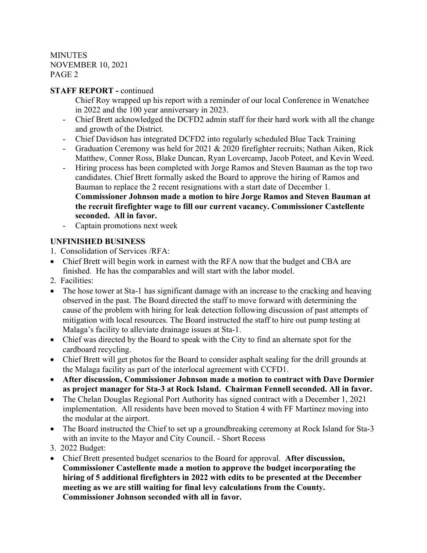**MINUTES** NOVEMBER 10, 2021 PAGE 2

### STAFF REPORT - continued

- Chief Roy wrapped up his report with a reminder of our local Conference in Wenatchee in 2022 and the 100 year anniversary in 2023.
- Chief Brett acknowledged the DCFD2 admin staff for their hard work with all the change and growth of the District.
- Chief Davidson has integrated DCFD2 into regularly scheduled Blue Tack Training
- Graduation Ceremony was held for 2021 & 2020 firefighter recruits; Nathan Aiken, Rick Matthew, Conner Ross, Blake Duncan, Ryan Lovercamp, Jacob Poteet, and Kevin Weed.
- Hiring process has been completed with Jorge Ramos and Steven Bauman as the top two candidates. Chief Brett formally asked the Board to approve the hiring of Ramos and Bauman to replace the 2 recent resignations with a start date of December 1. Commissioner Johnson made a motion to hire Jorge Ramos and Steven Bauman at the recruit firefighter wage to fill our current vacancy. Commissioner Castellente seconded. All in favor.
- Captain promotions next week

### UNFINISHED BUSINESS

- 1. Consolidation of Services /RFA:
- Chief Brett will begin work in earnest with the RFA now that the budget and CBA are finished. He has the comparables and will start with the labor model.
- 2. Facilities:
- The hose tower at Sta-1 has significant damage with an increase to the cracking and heaving observed in the past. The Board directed the staff to move forward with determining the cause of the problem with hiring for leak detection following discussion of past attempts of mitigation with local resources. The Board instructed the staff to hire out pump testing at Malaga's facility to alleviate drainage issues at Sta-1.
- Chief was directed by the Board to speak with the City to find an alternate spot for the cardboard recycling.
- Chief Brett will get photos for the Board to consider asphalt sealing for the drill grounds at the Malaga facility as part of the interlocal agreement with CCFD1.
- After discussion, Commissioner Johnson made a motion to contract with Dave Dormier as project manager for Sta-3 at Rock Island. Chairman Fennell seconded. All in favor.
- The Chelan Douglas Regional Port Authority has signed contract with a December 1, 2021 implementation. All residents have been moved to Station 4 with FF Martinez moving into the modular at the airport.
- The Board instructed the Chief to set up a groundbreaking ceremony at Rock Island for Sta-3 with an invite to the Mayor and City Council. - Short Recess
- 3. 2022 Budget:
- Chief Brett presented budget scenarios to the Board for approval. After discussion, Commissioner Castellente made a motion to approve the budget incorporating the hiring of 5 additional firefighters in 2022 with edits to be presented at the December meeting as we are still waiting for final levy calculations from the County. Commissioner Johnson seconded with all in favor.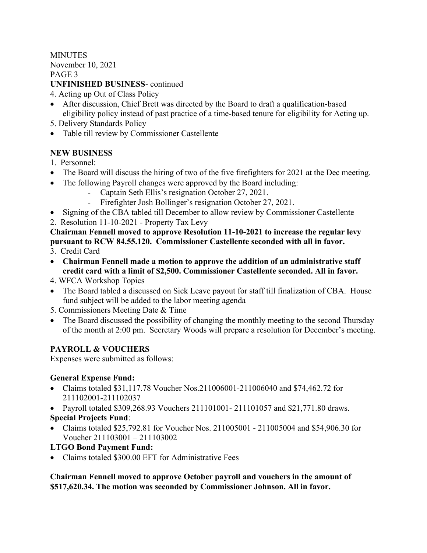**MINUTES** November 10, 2021 PAGE 3 UNFINISHED BUSINESS- continued

- 4. Acting up Out of Class Policy
- After discussion, Chief Brett was directed by the Board to draft a qualification-based eligibility policy instead of past practice of a time-based tenure for eligibility for Acting up.
- 5. Delivery Standards Policy
- Table till review by Commissioner Castellente

### NEW BUSINESS

- 1. Personnel:
- The Board will discuss the hiring of two of the five firefighters for 2021 at the Dec meeting.
- The following Payroll changes were approved by the Board including:
	- Captain Seth Ellis's resignation October 27, 2021.
	- Firefighter Josh Bollinger's resignation October 27, 2021.
- Signing of the CBA tabled till December to allow review by Commissioner Castellente
- 2. Resolution 11-10-2021 Property Tax Levy

Chairman Fennell moved to approve Resolution 11-10-2021 to increase the regular levy pursuant to RCW 84.55.120. Commissioner Castellente seconded with all in favor.

- 3. Credit Card
- Chairman Fennell made a motion to approve the addition of an administrative staff credit card with a limit of \$2,500. Commissioner Castellente seconded. All in favor.
- 4. WFCA Workshop Topics
- The Board tabled a discussed on Sick Leave payout for staff till finalization of CBA. House fund subject will be added to the labor meeting agenda
- 5. Commissioners Meeting Date & Time
- The Board discussed the possibility of changing the monthly meeting to the second Thursday of the month at 2:00 pm. Secretary Woods will prepare a resolution for December's meeting.

# PAYROLL & VOUCHERS

Expenses were submitted as follows:

### General Expense Fund:

- Claims totaled \$31,117.78 Voucher Nos.211006001-211006040 and \$74,462.72 for 211102001-211102037
- Payroll totaled \$309,268.93 Vouchers 211101001-211101057 and \$21,771.80 draws. Special Projects Fund:
- Claims totaled \$25,792.81 for Voucher Nos. 211005001 211005004 and \$54,906.30 for Voucher 211103001 – 211103002

LTGO Bond Payment Fund:

• Claims totaled \$300.00 EFT for Administrative Fees

Chairman Fennell moved to approve October payroll and vouchers in the amount of \$517,620.34. The motion was seconded by Commissioner Johnson. All in favor.